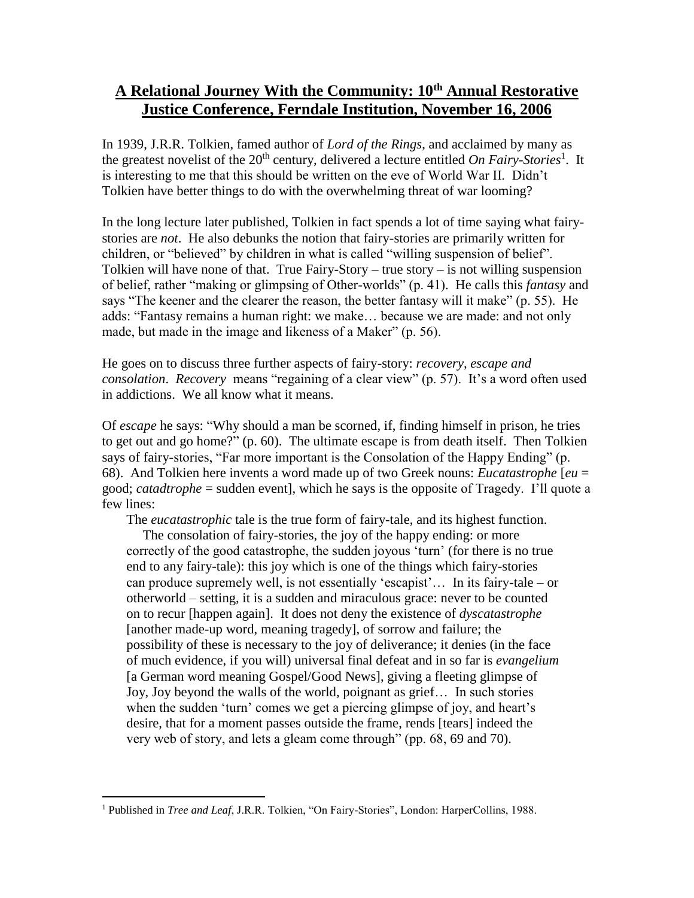## **A Relational Journey With the Community: 10th Annual Restorative Justice Conference, Ferndale Institution, November 16, 2006**

In 1939, J.R.R. Tolkien, famed author of *Lord of the Rings*, and acclaimed by many as the greatest novelist of the 20<sup>th</sup> century, delivered a lecture entitled *On Fairy-Stories*<sup>1</sup>. It is interesting to me that this should be written on the eve of World War II. Didn't Tolkien have better things to do with the overwhelming threat of war looming?

In the long lecture later published, Tolkien in fact spends a lot of time saying what fairystories are *not*. He also debunks the notion that fairy-stories are primarily written for children, or "believed" by children in what is called "willing suspension of belief". Tolkien will have none of that. True Fairy-Story – true story – is not willing suspension of belief, rather "making or glimpsing of Other-worlds" (p. 41). He calls this *fantasy* and says "The keener and the clearer the reason, the better fantasy will it make" (p. 55). He adds: "Fantasy remains a human right: we make… because we are made: and not only made, but made in the image and likeness of a Maker" (p. 56).

He goes on to discuss three further aspects of fairy-story: *recovery, escape and consolation*. *Recovery* means "regaining of a clear view" (p. 57). It's a word often used in addictions. We all know what it means.

Of *escape* he says: "Why should a man be scorned, if, finding himself in prison, he tries to get out and go home?" (p. 60). The ultimate escape is from death itself. Then Tolkien says of fairy-stories, "Far more important is the Consolation of the Happy Ending" (p. 68). And Tolkien here invents a word made up of two Greek nouns: *Eucatastrophe* [*eu* = good; *catadtrophe* = sudden event], which he says is the opposite of Tragedy. I'll quote a few lines:

The *eucatastrophic* tale is the true form of fairy-tale, and its highest function.

The consolation of fairy-stories, the joy of the happy ending: or more correctly of the good catastrophe, the sudden joyous 'turn' (for there is no true end to any fairy-tale): this joy which is one of the things which fairy-stories can produce supremely well, is not essentially 'escapist'… In its fairy-tale – or otherworld – setting, it is a sudden and miraculous grace: never to be counted on to recur [happen again]. It does not deny the existence of *dyscatastrophe* [another made-up word, meaning tragedy], of sorrow and failure; the possibility of these is necessary to the joy of deliverance; it denies (in the face of much evidence, if you will) universal final defeat and in so far is *evangelium*  [a German word meaning Gospel/Good News], giving a fleeting glimpse of Joy, Joy beyond the walls of the world, poignant as grief… In such stories when the sudden 'turn' comes we get a piercing glimpse of joy, and heart's desire, that for a moment passes outside the frame, rends [tears] indeed the very web of story, and lets a gleam come through" (pp. 68, 69 and 70).

 $\overline{a}$ 

<sup>1</sup> Published in *Tree and Leaf*, J.R.R. Tolkien, "On Fairy-Stories", London: HarperCollins, 1988.